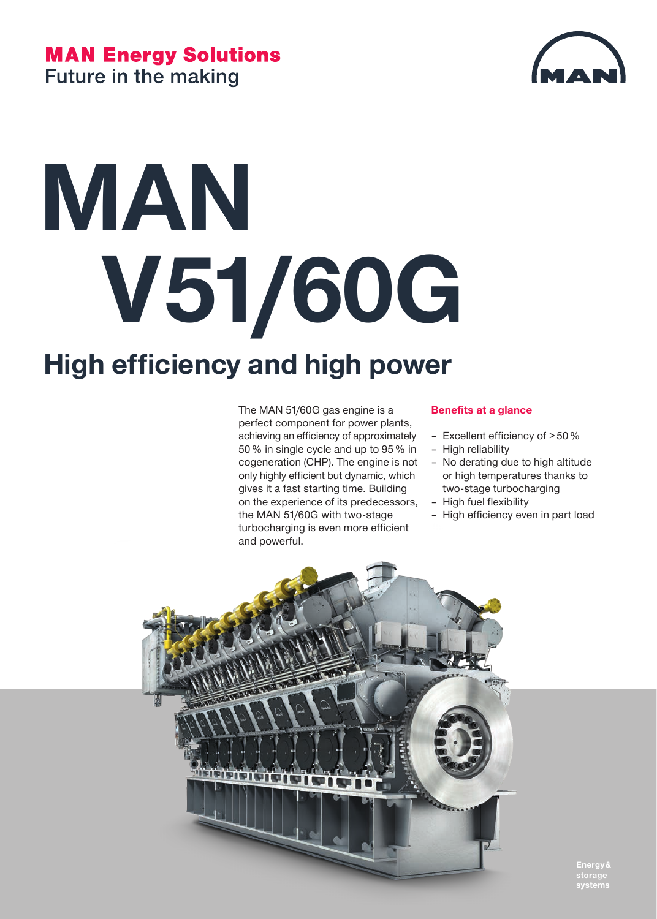#### **MAN Energy Solutions Future in the making**



# **MAN V51/60G**

### **High efficiency and high power**

The MAN 51/60G gas engine is a perfect component for power plants, achieving an efficiency of approximately 50 % in single cycle and up to 95 % in cogeneration (CHP). The engine is not only highly efficient but dynamic, which gives it a fast starting time. Building on the experience of its predecessors, the MAN 51/60G with two-stage turbocharging is even more efficient and powerful.

#### **Benefits at a glance**

- Excellent efficiency of > 50 %
- High reliability
- No derating due to high altitude or high temperatures thanks to two-stage turbocharging
- High fuel flexibility
- High efficiency even in part load



**storage systems**